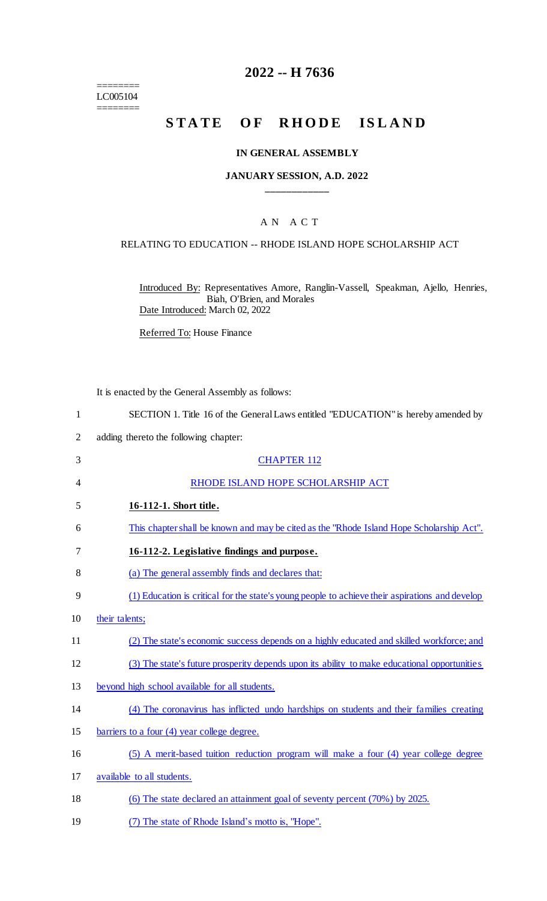======== LC005104 ========

# **2022 -- H 7636**

# **STATE OF RHODE ISLAND**

## **IN GENERAL ASSEMBLY**

### **JANUARY SESSION, A.D. 2022 \_\_\_\_\_\_\_\_\_\_\_\_**

# A N A C T

### RELATING TO EDUCATION -- RHODE ISLAND HOPE SCHOLARSHIP ACT

Introduced By: Representatives Amore, Ranglin-Vassell, Speakman, Ajello, Henries, Biah, O'Brien, and Morales Date Introduced: March 02, 2022

Referred To: House Finance

It is enacted by the General Assembly as follows:

2 adding thereto the following chapter:

| 3              | <b>CHAPTER 112</b>                                                                              |
|----------------|-------------------------------------------------------------------------------------------------|
| $\overline{4}$ | RHODE ISLAND HOPE SCHOLARSHIP ACT                                                               |
| 5              | 16-112-1. Short title.                                                                          |
| 6              | This chapter shall be known and may be cited as the "Rhode Island Hope Scholarship Act".        |
| 7              | 16-112-2. Legislative findings and purpose.                                                     |
| 8              | (a) The general assembly finds and declares that:                                               |
| 9              | (1) Education is critical for the state's young people to achieve their aspirations and develop |
| 10             | their talents;                                                                                  |
| 11             | (2) The state's economic success depends on a highly educated and skilled workforce; and        |
| 12             | (3) The state's future prosperity depends upon its ability to make educational opportunities    |
| 13             | beyond high school available for all students.                                                  |
| 14             | (4) The coronavirus has inflicted undo hardships on students and their families creating        |
| 15             | barriers to a four (4) year college degree.                                                     |
| 16             | (5) A merit-based tuition reduction program will make a four (4) year college degree            |
| 17             | available to all students.                                                                      |
| 18             | (6) The state declared an attainment goal of seventy percent (70%) by 2025.                     |
|                |                                                                                                 |

19 (7) The state of Rhode Island's motto is, "Hope".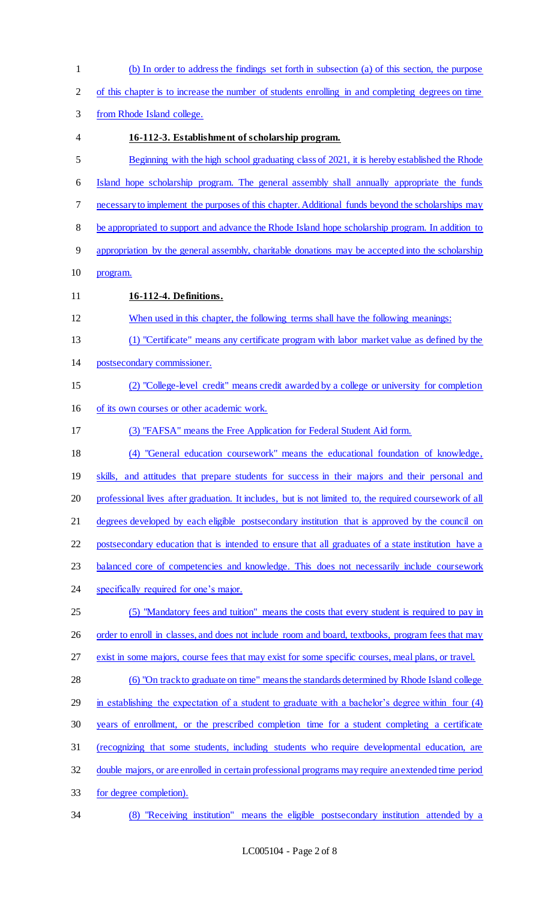(b) In order to address the findings set forth in subsection (a) of this section, the purpose of this chapter is to increase the number of students enrolling in and completing degrees on time from Rhode Island college. **16-112-3. Establishment of scholarship program.**  Beginning with the high school graduating class of 2021, it is hereby established the Rhode Island hope scholarship program. The general assembly shall annually appropriate the funds necessary to implement the purposes of this chapter. Additional funds beyond the scholarships may be appropriated to support and advance the Rhode Island hope scholarship program. In addition to appropriation by the general assembly, charitable donations may be accepted into the scholarship program. **16-112-4. Definitions.**  When used in this chapter, the following terms shall have the following meanings: (1) "Certificate" means any certificate program with labor market value as defined by the postsecondary commissioner. (2) "College-level credit" means credit awarded by a college or university for completion of its own courses or other academic work. (3) "FAFSA" means the Free Application for Federal Student Aid form. (4) "General education coursework" means the educational foundation of knowledge, 19 skills, and attitudes that prepare students for success in their majors and their personal and 20 professional lives after graduation. It includes, but is not limited to, the required coursework of all 21 degrees developed by each eligible postsecondary institution that is approved by the council on postsecondary education that is intended to ensure that all graduates of a state institution have a 23 balanced core of competencies and knowledge. This does not necessarily include coursework 24 specifically required for one's major. (5) "Mandatory fees and tuition" means the costs that every student is required to pay in 26 order to enroll in classes, and does not include room and board, textbooks, program fees that may exist in some majors, course fees that may exist for some specific courses, meal plans, or travel. (6) "On track to graduate on time" means the standards determined by Rhode Island college in establishing the expectation of a student to graduate with a bachelor's degree within four (4) years of enrollment, or the prescribed completion time for a student completing a certificate (recognizing that some students, including students who require developmental education, are double majors, or are enrolled in certain professional programs may require an extended time period for degree completion). (8) "Receiving institution" means the eligible postsecondary institution attended by a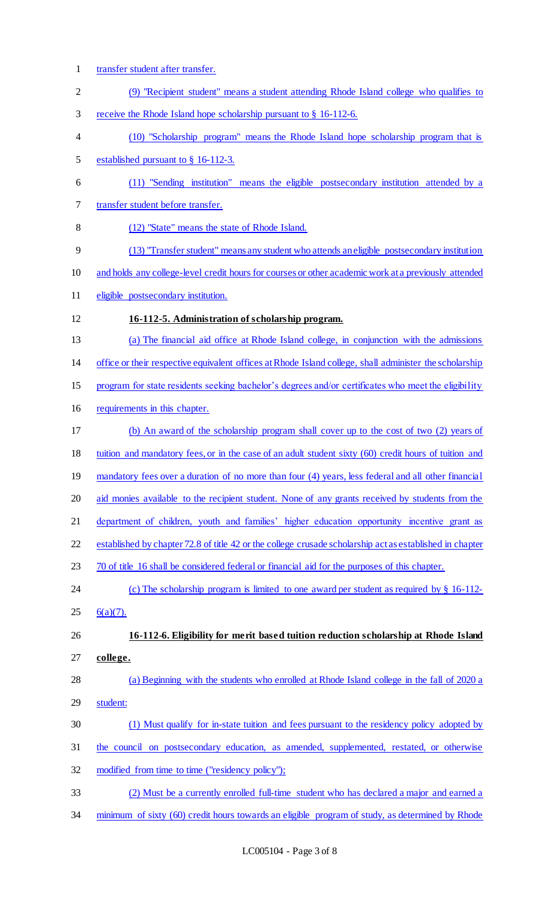transfer student after transfer. (9) "Recipient student" means a student attending Rhode Island college who qualifies to receive the Rhode Island hope scholarship pursuant to § 16-112-6. (10) "Scholarship program" means the Rhode Island hope scholarship program that is established pursuant to § 16-112-3. (11) "Sending institution" means the eligible postsecondary institution attended by a transfer student before transfer. (12) "State" means the state of Rhode Island. (13) "Transfer student" means any student who attends an eligible postsecondary institution and holds any college-level credit hours for courses or other academic work at a previously attended eligible postsecondary institution. **16-112-5. Administration of scholarship program.**  (a) The financial aid office at Rhode Island college, in conjunction with the admissions office or their respective equivalent offices at Rhode Island college, shall administer the scholarship program for state residents seeking bachelor's degrees and/or certificates who meet the eligibility requirements in this chapter. (b) An award of the scholarship program shall cover up to the cost of two (2) years of tuition and mandatory fees, or in the case of an adult student sixty (60) credit hours of tuition and 19 mandatory fees over a duration of no more than four (4) years, less federal and all other financial aid monies available to the recipient student. None of any grants received by students from the 21 department of children, youth and families' higher education opportunity incentive grant as established by chapter 72.8 of title 42 or the college crusade scholarship act as established in chapter 70 of title 16 shall be considered federal or financial aid for the purposes of this chapter. 24 (c) The scholarship program is limited to one award per student as required by § 16-112-25  $6(a)(7)$ . **16-112-6. Eligibility for merit based tuition reduction scholarship at Rhode Island college.**  (a) Beginning with the students who enrolled at Rhode Island college in the fall of 2020 a student: (1) Must qualify for in-state tuition and fees pursuant to the residency policy adopted by the council on postsecondary education, as amended, supplemented, restated, or otherwise modified from time to time ("residency policy"); (2) Must be a currently enrolled full-time student who has declared a major and earned a 34 minimum of sixty (60) credit hours towards an eligible program of study, as determined by Rhode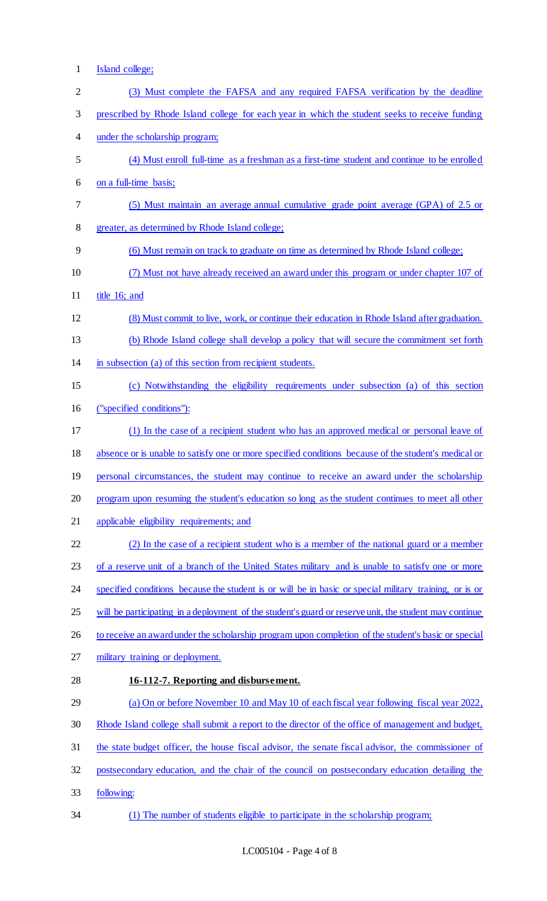- Island college;
- (3) Must complete the FAFSA and any required FAFSA verification by the deadline prescribed by Rhode Island college for each year in which the student seeks to receive funding under the scholarship program; (4) Must enroll full-time as a freshman as a first-time student and continue to be enrolled on a full-time basis; (5) Must maintain an average annual cumulative grade point average (GPA) of 2.5 or greater, as determined by Rhode Island college; (6) Must remain on track to graduate on time as determined by Rhode Island college; (7) Must not have already received an award under this program or under chapter 107 of title 16; and (8) Must commit to live, work, or continue their education in Rhode Island after graduation. (b) Rhode Island college shall develop a policy that will secure the commitment set forth in subsection (a) of this section from recipient students. (c) Notwithstanding the eligibility requirements under subsection (a) of this section ("specified conditions"): (1) In the case of a recipient student who has an approved medical or personal leave of absence or is unable to satisfy one or more specified conditions because of the student's medical or 19 personal circumstances, the student may continue to receive an award under the scholarship program upon resuming the student's education so long as the student continues to meet all other 21 applicable eligibility requirements; and (2) In the case of a recipient student who is a member of the national guard or a member 23 of a reserve unit of a branch of the United States military and is unable to satisfy one or more specified conditions because the student is or will be in basic or special military training, or is or will be participating in a deployment of the student's guard or reserve unit, the student may continue 26 to receive an award under the scholarship program upon completion of the student's basic or special 27 military training or deployment. **16-112-7. Reporting and disbursement.**  (a) On or before November 10 and May 10 of each fiscal year following fiscal year 2022, Rhode Island college shall submit a report to the director of the office of management and budget, the state budget officer, the house fiscal advisor, the senate fiscal advisor, the commissioner of postsecondary education, and the chair of the council on postsecondary education detailing the following: (1) The number of students eligible to participate in the scholarship program;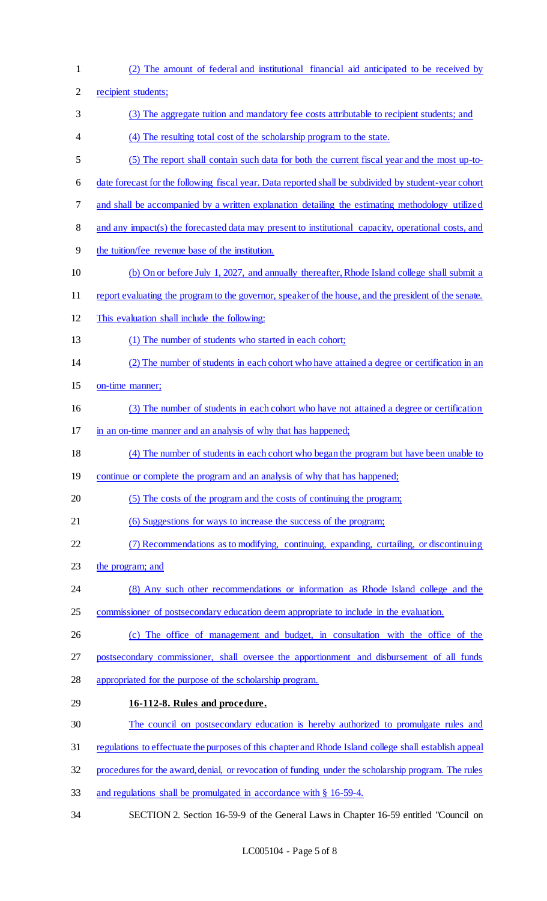(2) The amount of federal and institutional financial aid anticipated to be received by recipient students; (3) The aggregate tuition and mandatory fee costs attributable to recipient students; and (4) The resulting total cost of the scholarship program to the state. (5) The report shall contain such data for both the current fiscal year and the most up-to- date forecast for the following fiscal year. Data reported shall be subdivided by student-year cohort and shall be accompanied by a written explanation detailing the estimating methodology utilized 8 and any impact(s) the forecasted data may present to institutional capacity, operational costs, and the tuition/fee revenue base of the institution. (b) On or before July 1, 2027, and annually thereafter, Rhode Island college shall submit a report evaluating the program to the governor, speaker of the house, and the president of the senate. This evaluation shall include the following: (1) The number of students who started in each cohort; (2) The number of students in each cohort who have attained a degree or certification in an on-time manner; (3) The number of students in each cohort who have not attained a degree or certification in an on-time manner and an analysis of why that has happened; (4) The number of students in each cohort who began the program but have been unable to 19 continue or complete the program and an analysis of why that has happened; (5) The costs of the program and the costs of continuing the program; (6) Suggestions for ways to increase the success of the program; (7) Recommendations as to modifying, continuing, expanding, curtailing, or discontinuing 23 the program; and (8) Any such other recommendations or information as Rhode Island college and the commissioner of postsecondary education deem appropriate to include in the evaluation. (c) The office of management and budget, in consultation with the office of the postsecondary commissioner, shall oversee the apportionment and disbursement of all funds appropriated for the purpose of the scholarship program. **16-112-8. Rules and procedure.**  The council on postsecondary education is hereby authorized to promulgate rules and regulations to effectuate the purposes of this chapter and Rhode Island college shall establish appeal procedures for the award, denial, or revocation of funding under the scholarship program. The rules and regulations shall be promulgated in accordance with § 16-59-4. SECTION 2. Section 16-59-9 of the General Laws in Chapter 16-59 entitled "Council on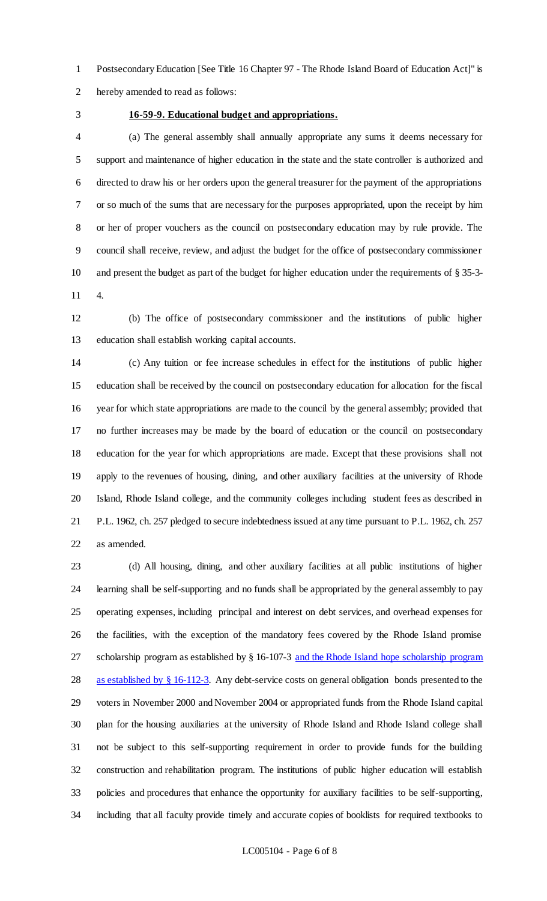Postsecondary Education [See Title 16 Chapter 97 - The Rhode Island Board of Education Act]" is hereby amended to read as follows:

### **16-59-9. Educational budget and appropriations.**

 (a) The general assembly shall annually appropriate any sums it deems necessary for support and maintenance of higher education in the state and the state controller is authorized and directed to draw his or her orders upon the general treasurer for the payment of the appropriations or so much of the sums that are necessary for the purposes appropriated, upon the receipt by him or her of proper vouchers as the council on postsecondary education may by rule provide. The council shall receive, review, and adjust the budget for the office of postsecondary commissioner and present the budget as part of the budget for higher education under the requirements of § 35-3- 4.

 (b) The office of postsecondary commissioner and the institutions of public higher education shall establish working capital accounts.

 (c) Any tuition or fee increase schedules in effect for the institutions of public higher education shall be received by the council on postsecondary education for allocation for the fiscal year for which state appropriations are made to the council by the general assembly; provided that no further increases may be made by the board of education or the council on postsecondary education for the year for which appropriations are made. Except that these provisions shall not apply to the revenues of housing, dining, and other auxiliary facilities at the university of Rhode Island, Rhode Island college, and the community colleges including student fees as described in P.L. 1962, ch. 257 pledged to secure indebtedness issued at any time pursuant to P.L. 1962, ch. 257 as amended.

 (d) All housing, dining, and other auxiliary facilities at all public institutions of higher learning shall be self-supporting and no funds shall be appropriated by the general assembly to pay operating expenses, including principal and interest on debt services, and overhead expenses for the facilities, with the exception of the mandatory fees covered by the Rhode Island promise scholarship program as established by § 16-107-3 and the Rhode Island hope scholarship program 28 as established by § 16-112-3. Any debt-service costs on general obligation bonds presented to the voters in November 2000 and November 2004 or appropriated funds from the Rhode Island capital plan for the housing auxiliaries at the university of Rhode Island and Rhode Island college shall not be subject to this self-supporting requirement in order to provide funds for the building construction and rehabilitation program. The institutions of public higher education will establish policies and procedures that enhance the opportunity for auxiliary facilities to be self-supporting, including that all faculty provide timely and accurate copies of booklists for required textbooks to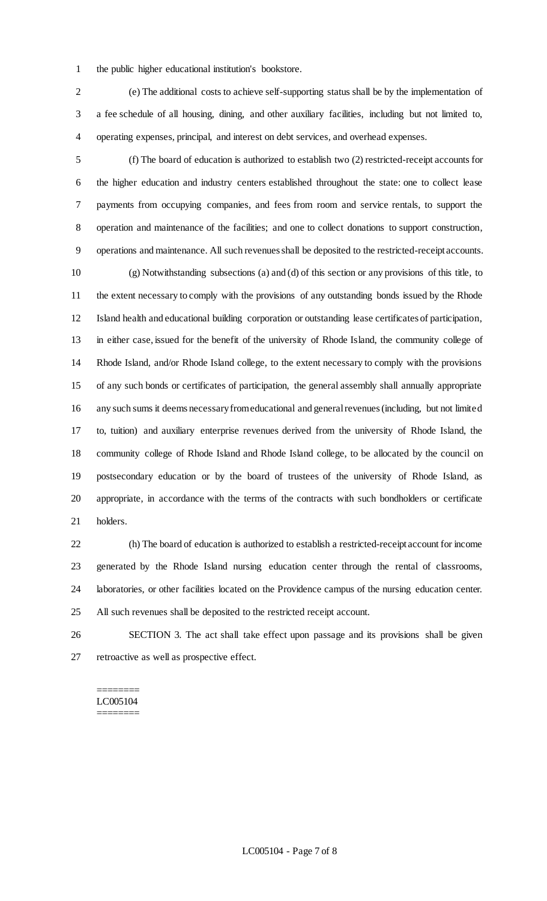- the public higher educational institution's bookstore.
- (e) The additional costs to achieve self-supporting status shall be by the implementation of a fee schedule of all housing, dining, and other auxiliary facilities, including but not limited to, operating expenses, principal, and interest on debt services, and overhead expenses.
- (f) The board of education is authorized to establish two (2) restricted-receipt accounts for the higher education and industry centers established throughout the state: one to collect lease payments from occupying companies, and fees from room and service rentals, to support the operation and maintenance of the facilities; and one to collect donations to support construction, operations and maintenance. All such revenues shall be deposited to the restricted-receipt accounts. (g) Notwithstanding subsections (a) and (d) of this section or any provisions of this title, to the extent necessary to comply with the provisions of any outstanding bonds issued by the Rhode Island health and educational building corporation or outstanding lease certificates of participation, in either case, issued for the benefit of the university of Rhode Island, the community college of Rhode Island, and/or Rhode Island college, to the extent necessary to comply with the provisions of any such bonds or certificates of participation, the general assembly shall annually appropriate any such sums it deems necessary from educational and general revenues (including, but not limited to, tuition) and auxiliary enterprise revenues derived from the university of Rhode Island, the community college of Rhode Island and Rhode Island college, to be allocated by the council on postsecondary education or by the board of trustees of the university of Rhode Island, as appropriate, in accordance with the terms of the contracts with such bondholders or certificate holders.
- (h) The board of education is authorized to establish a restricted-receipt account for income generated by the Rhode Island nursing education center through the rental of classrooms, laboratories, or other facilities located on the Providence campus of the nursing education center. All such revenues shall be deposited to the restricted receipt account.
- SECTION 3. The act shall take effect upon passage and its provisions shall be given retroactive as well as prospective effect.

#### ======== LC005104 ========